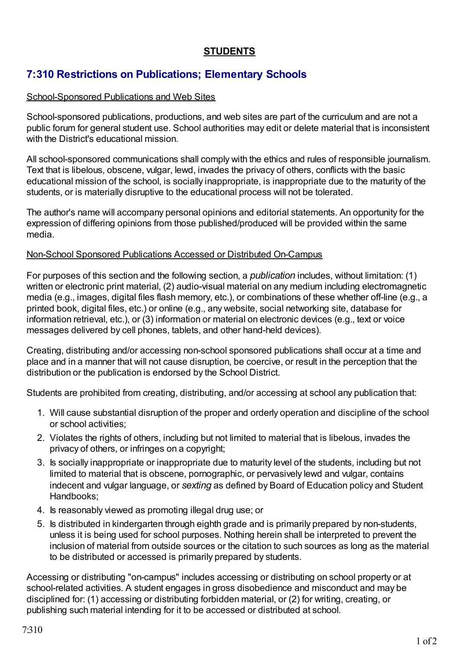## **STUDENTS**

# **7:310 Restrictions on Publications; Elementary Schools**

### School-Sponsored Publications and Web Sites

School-sponsored publications, productions, and web sites are part of the curriculum and are not a public forum for general student use. School authorities may edit or delete material that is inconsistent with the District's educational mission.

All school-sponsored communications shall comply with the ethics and rules of responsible journalism. Text that is libelous, obscene, vulgar, lewd, invades the privacy of others, conflicts with the basic educational mission of the school, is socially inappropriate, is inappropriate due to the maturity of the students, or is materially disruptive to the educational process will not be tolerated.

The author's name will accompany personal opinions and editorial statements. An opportunity for the expression of differing opinions from those published/produced will be provided within the same media.

#### Non-School Sponsored Publications Accessed or Distributed On-Campus

For purposes of this section and the following section, a *publication* includes, without limitation: (1) written or electronic print material, (2) audio-visual material on any medium including electromagnetic media (e.g., images, digital files flash memory, etc.), or combinations of these whether off-line (e.g., a printed book, digital files, etc.) or online (e.g., any website, social networking site, database for information retrieval, etc.), or (3) information or material on electronic devices (e.g., text or voice messages delivered by cell phones, tablets, and other hand-held devices).

Creating, distributing and/or accessing non-school sponsored publications shall occur at a time and place and in a manner that will not cause disruption, be coercive, or result in the perception that the distribution or the publication is endorsed by the School District.

Students are prohibited from creating, distributing, and/or accessing at school any publication that:

- 1. Will cause substantial disruption of the proper and orderly operation and discipline of the school or school activities;
- 2. Violates the rights of others, including but not limited to material that is libelous, invades the privacy of others, or infringes on a copyright;
- 3. Is socially inappropriate or inappropriate due to maturity level of the students, including but not limited to material that is obscene, pornographic, or pervasively lewd and vulgar, contains indecent and vulgar language, or *sexting* as defined by Board of Education policy and Student Handbooks;
- 4. Is reasonably viewed as promoting illegal drug use; or
- 5. Is distributed in kindergarten through eighth grade and is primarily prepared by non-students, unless it is being used for school purposes. Nothing herein shall be interpreted to prevent the inclusion of material from outside sources or the citation to such sources as long as the material to be distributed or accessed is primarily prepared by students.

Accessing or distributing "on-campus" includes accessing or distributing on school property or at school-related activities. A student engages in gross disobedience and misconduct and may be disciplined for: (1) accessing or distributing forbidden material, or (2) for writing, creating, or publishing such material intending for it to be accessed or distributed at school.